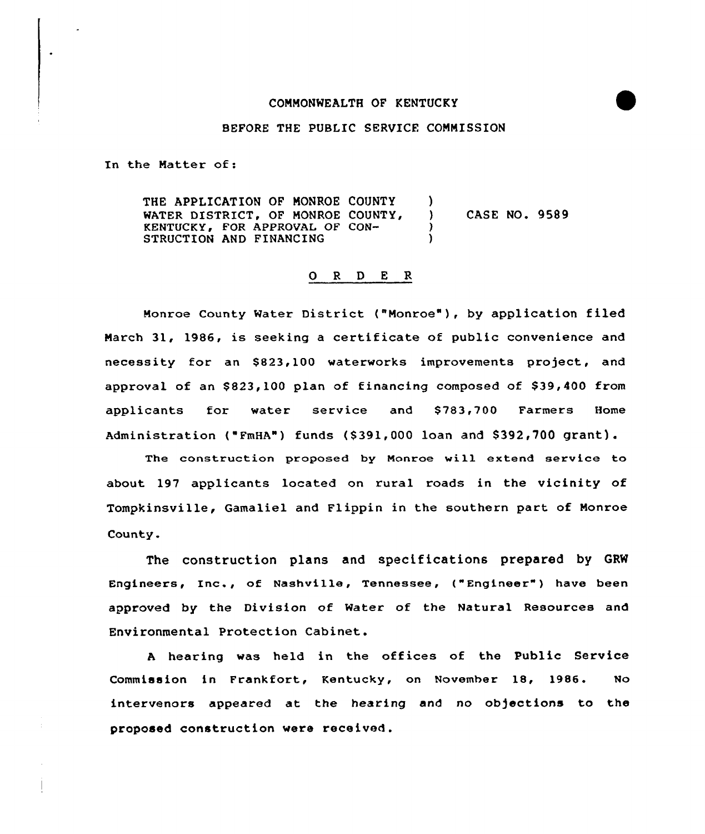## COMMONWEALTH OF KENTUCKY

## BEFORE THE PUBLIC SERVICE COMMISSION

In the Matter of:

THE APPLICATION OF MONROE COUNTY )<br>WATER DISTRICT, OF MONROE COUNTY, ) WATER DISTRICT, OF MONROE COUNTY, ) CASE NO. 9589 KENTUCKY, FOR APPROVAI OF CON-STRUCTION AND FINANCING

## 0 <sup>R</sup> <sup>D</sup> <sup>E</sup> R

Monroe County Water District ("Monroe" ), by application filed March 31, 1986, is seeking <sup>a</sup> certificate of public convenience and necessity for an \$823,100 waterworks improvements project, and approval of an \$823,100 plan of financing composed of \$39,400 from applicants for water service and \$ 783,700 Farmers Home Administration ("FmHA") funds (\$391,000 loan and \$392,700 grant).

The construction proposed by Monroe will extend service to about. 197 applicants located on rural roads in the vicinity of Tompkinsville, Gamaliel and Flippin in the southern part of Monroe County.

The construction plans and specifications prepared by GRW Engineers, Inc., of Nashville, Tennessee, ("Engineer") have been approved by the Division of Water of the Natural Resources and Environmental Protection Cabinet.

<sup>A</sup> hearing was held in the offices of the Public Service Commission in Frankfort, Kentucky, on November 18, 1986. No intervenors appeared at the hearing and no objections to the proposed construction were received.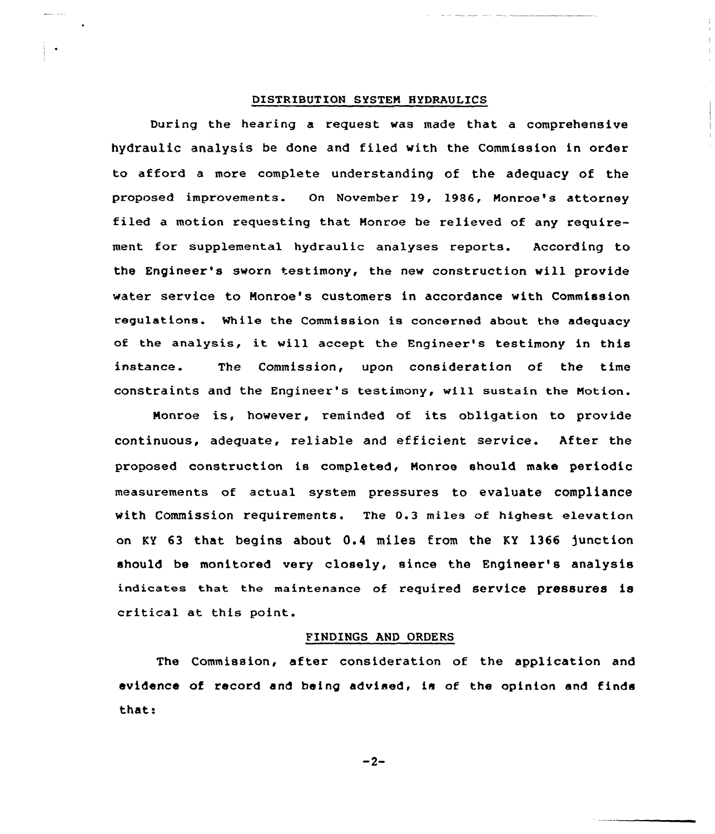# DISTRIBUTION SYSTEM HYDRAULICS

During the hearing a request was made that a comprehensive hydraulic analysis be done and filed with the Commission in order to afford a more complete understanding of the adequacy af the proposed improvements. On November 19, 1986, Monroe's attorney filed a motion requesting that Monroe be relieved of any requirement for supplemental hydraulic analyses reports. According to the Engineer's sworn testimony, the new construction will provide water service to Monroe's customers in accordance with Commission regulations. While the Commission is concerned about the adequacy of the analysis, it will accept the Engineer's testimony in this instance. The Commission, upon consideration of the time constraints and the Engineer's testimony, will sustain the Notion.

Monroe is, however, reminded of its obligation to provide continuous, adequate, reliable and efficient service. After the proposed construction is completed, Monroe should make periodic measurements of actual system pressures to evaluate compliance with Commission requirements. The 0.3 miles of highest elevation an KY 63 that begins about 0.4 miles from the KY 1366 )unction should be monitored very closely, since the Engineer's analysis indicates that the maintenance of required service pressures is critical at this point.

## FINDINGS AND ORDERS

The Commission, after consideratian of the application and evidence of record and being advised, is of the opinion and finds that:

 $-2-$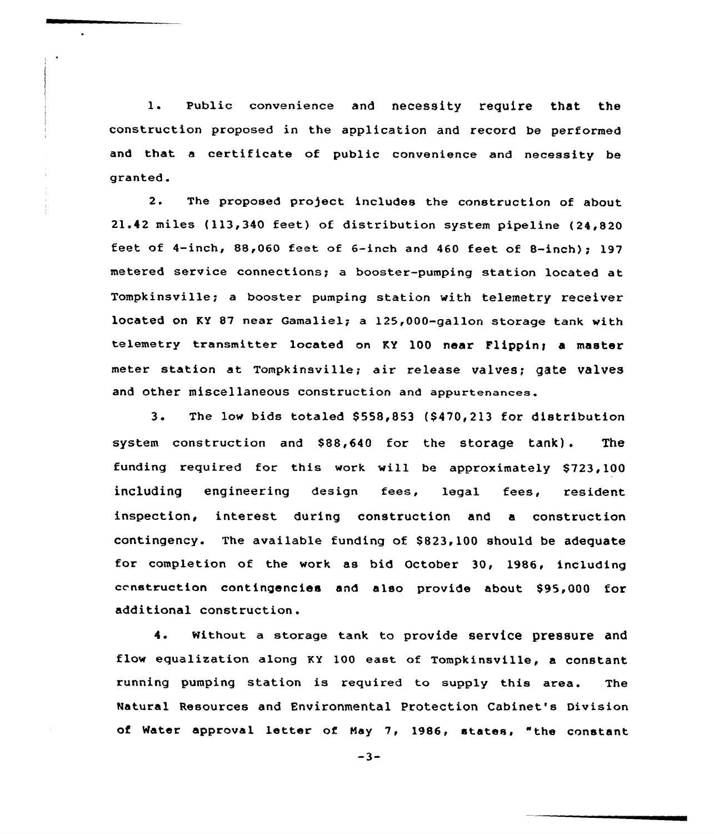1. Public convenience and necessity require that the construction proposed in the application and record be performed and that <sup>a</sup> certificate of public convenience and necessity be granted.

2. The proposed project includes the construction of about 21.42 miles (113,340 feet) of distribution system pipeline (24,820 feet of 4-inch,  $88,060$  feet of 6-inch and 460 feet of 8-inch); 197 metered service connections; a booster-pumping station located at, Tompkinsville; a booster pumping station with telemetry receiver located on KY 87 near Gamaliel; a 125,000-gallon storage tank with telemetry transmitter located on KY 100 near Flippin; a master meter station at Tompkinsville; air release valves; gate valves and other miscellaneous construction and appurtenances.

3. The low bids totaled \$558,853 (\$470,213 for distribution system construction and \$88,640 for the storage tank). The funding required for this work will be approximately 8723,100 including engineering design fees, legal fees, resident inspection, interest during construction and a construction contingency. The available funding of \$823,100 should be adequate for completion of the work as bid October 30, 1986, including censtruction contingencies and also provide about \$95,000 for additional construction.

4. Without a storage tank to provide service pressure and flow equalization along KY 100 east of Tompkinsville, a constant running pumping station is required to supply this area. The Natural Resources and Environmental Protection Cabinet's Division of Water approval letter of Nay 7, 1986, states, "the constant

 $-3-$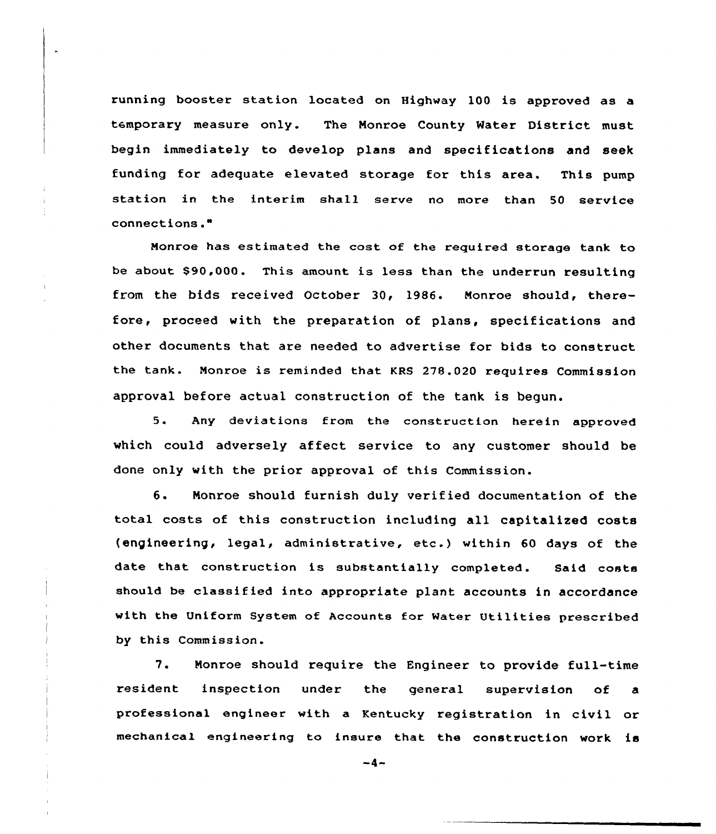running booster station located on Highway 100 is approved as a temporary measure only. The Monroe County Mater District must begin immediately to develop plans and specifications and seek funding for adequate elevated storage for this area. This pump station in the interim shall serve no more than 50 service connections."

Nonroe has estimated the cost of the required storage tank to be about \$90,000. This amount is less than the underrun resulting from the bids received October 30, 1986. Monroe should, therefore, proceed with the preparation of plans, specifications and other documents that are needed to advertise for bids to construct the tank. Monroe is reminded that KRS 278.020 requires Commission approval before actual construction of the tank is begun.

5. Any deviations from the construction herein approve which could adversely affect service to any customer should be done only with the prior approval of this Commission. ense,<br>...

6. Monroe should furnish duly verified documentation of the total costs of this construction including all capitalized costs (engineering, legal, administrative, etc.) within 60 days of the date that construction is substantially completed. Said costs should be classified into appropriate plant accounts in accordance with the Uniform System of Accounts for Water Utilities prescribed by this Commission.

7. Nonroe should require the Engineer to provide full-time resident inspection under the general supervision of a professional engineer with a Kentucky registration in civil or mechanical engineering to insure that the construction work is

 $-4-$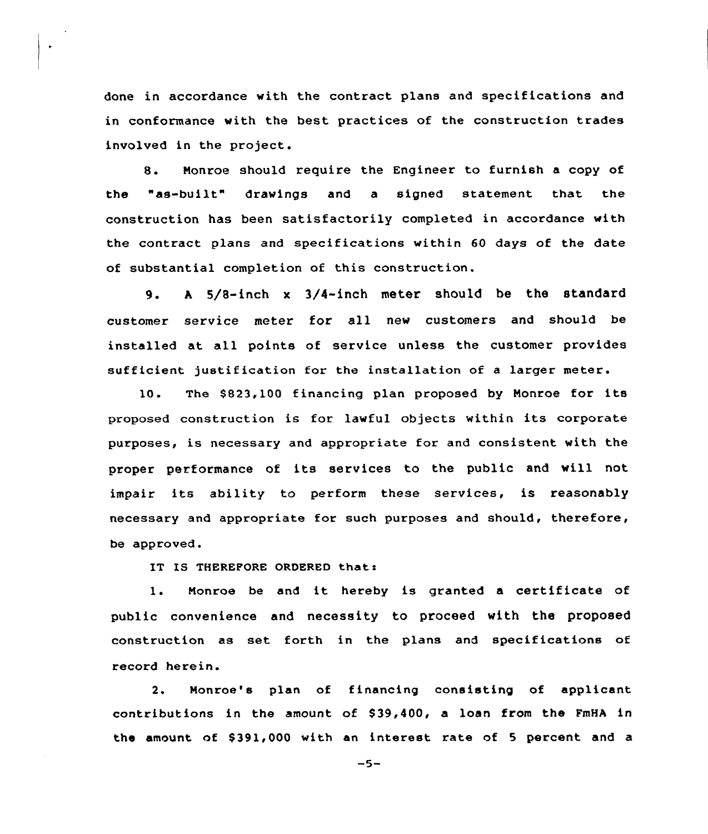done in accordance with the contract plans and specifications and in conformance with the best practices of the construction trades involved in the project.

8. Nonroe should require the Engineer to furnish <sup>a</sup> copy of the "as-built" drawings and a signed statement that the construction has been satisfactorily completed in accordance with the contract plans and specifications within 60 days of the date of substantial completion of this construction.

9. A 5/8-inch x 3/4-inch meter should be the standard customer service meter for all new customers and should be installed at all points of service unless the customer provides sufficient justification for the installation of a larger meter.

10. The \$823,100 financing plan proposed by Monroe for its proposed construction is for lawful objects within its corporate purposes, is necessary and appropriate for and consistent with the proper performance of its services to the public and will not impair its ability to perform these services, is reasonably necessary and appropriate for such purposes and should, therefore, be approved.

IT IS THEREFORE ORDERED that:

 $\ddot{\phantom{0}}$ 

1. Nonroe be and it hereby is granted <sup>a</sup> certificate of public convenience and necessity to proceed with the proposed construction as set forth in the plans and specifications of record herein.

2. Nonroe's plan of financing consisting of applicant contributions in the amount of \$39,400, a loan from the FmHA in the amount of \$391,000 with an interest rate of 5 percent and a

 $-5-$